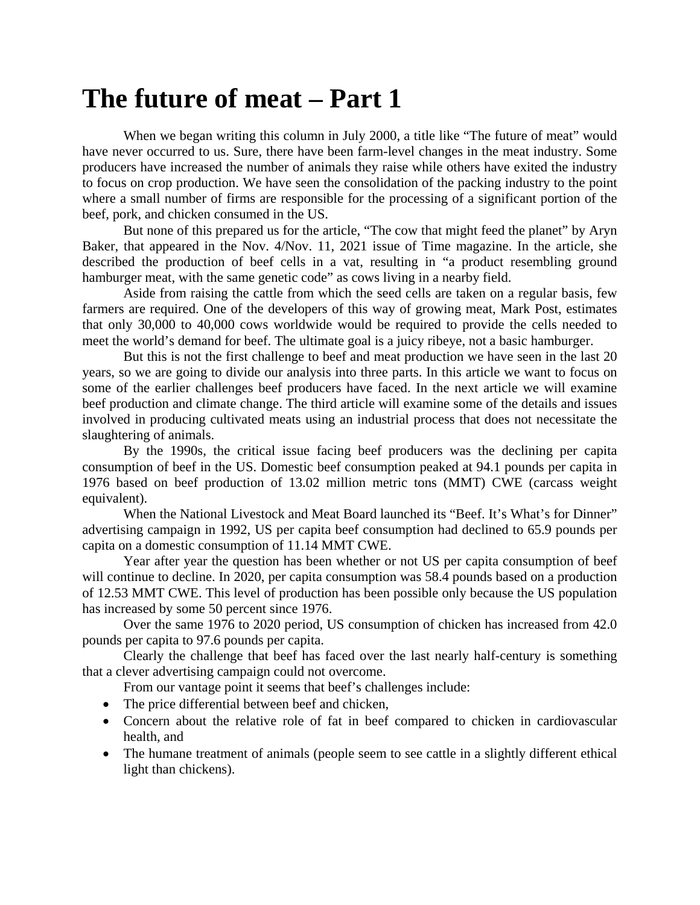## **The future of meat – Part 1**

When we began writing this column in July 2000, a title like "The future of meat" would have never occurred to us. Sure, there have been farm-level changes in the meat industry. Some producers have increased the number of animals they raise while others have exited the industry to focus on crop production. We have seen the consolidation of the packing industry to the point where a small number of firms are responsible for the processing of a significant portion of the beef, pork, and chicken consumed in the US.

But none of this prepared us for the article, "The cow that might feed the planet" by Aryn Baker, that appeared in the Nov. 4/Nov. 11, 2021 issue of Time magazine. In the article, she described the production of beef cells in a vat, resulting in "a product resembling ground hamburger meat, with the same genetic code" as cows living in a nearby field.

Aside from raising the cattle from which the seed cells are taken on a regular basis, few farmers are required. One of the developers of this way of growing meat, Mark Post, estimates that only 30,000 to 40,000 cows worldwide would be required to provide the cells needed to meet the world's demand for beef. The ultimate goal is a juicy ribeye, not a basic hamburger.

But this is not the first challenge to beef and meat production we have seen in the last 20 years, so we are going to divide our analysis into three parts. In this article we want to focus on some of the earlier challenges beef producers have faced. In the next article we will examine beef production and climate change. The third article will examine some of the details and issues involved in producing cultivated meats using an industrial process that does not necessitate the slaughtering of animals.

By the 1990s, the critical issue facing beef producers was the declining per capita consumption of beef in the US. Domestic beef consumption peaked at 94.1 pounds per capita in 1976 based on beef production of 13.02 million metric tons (MMT) CWE (carcass weight equivalent).

When the National Livestock and Meat Board launched its "Beef. It's What's for Dinner" advertising campaign in 1992, US per capita beef consumption had declined to 65.9 pounds per capita on a domestic consumption of 11.14 MMT CWE.

Year after year the question has been whether or not US per capita consumption of beef will continue to decline. In 2020, per capita consumption was 58.4 pounds based on a production of 12.53 MMT CWE. This level of production has been possible only because the US population has increased by some 50 percent since 1976.

Over the same 1976 to 2020 period, US consumption of chicken has increased from 42.0 pounds per capita to 97.6 pounds per capita.

Clearly the challenge that beef has faced over the last nearly half-century is something that a clever advertising campaign could not overcome.

From our vantage point it seems that beef's challenges include:

- The price differential between beef and chicken,
- Concern about the relative role of fat in beef compared to chicken in cardiovascular health, and
- The humane treatment of animals (people seem to see cattle in a slightly different ethical light than chickens).